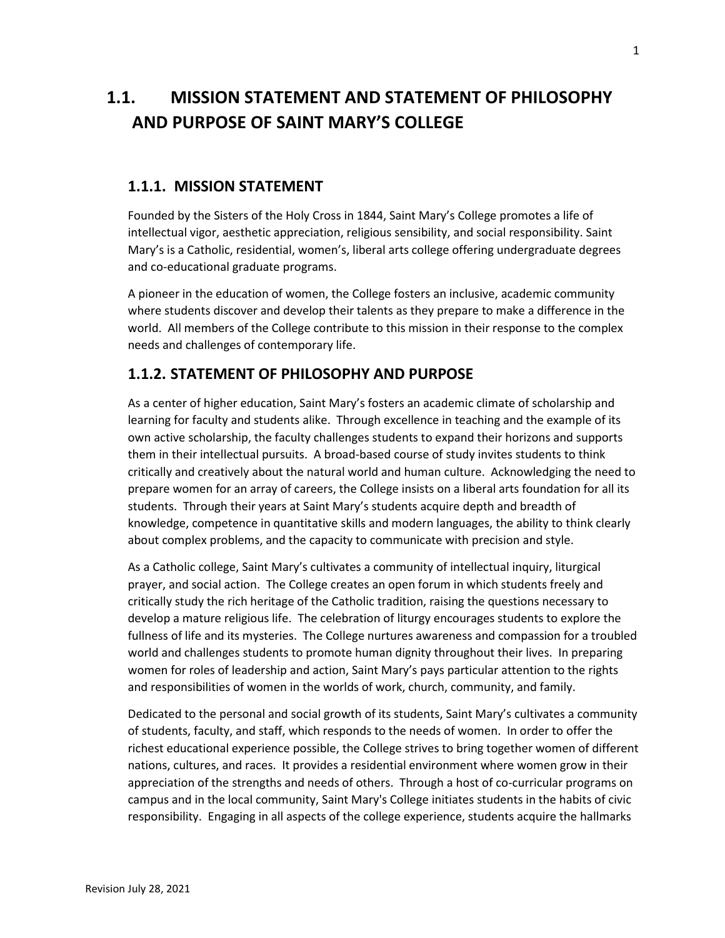## **1.1. MISSION STATEMENT AND STATEMENT OF PHILOSOPHY AND PURPOSE OF SAINT MARY'S COLLEGE**

## **1.1.1. MISSION STATEMENT**

Founded by the Sisters of the Holy Cross in 1844, Saint Mary's College promotes a life of intellectual vigor, aesthetic appreciation, religious sensibility, and social responsibility. Saint Mary's is a Catholic, residential, women's, liberal arts college offering undergraduate degrees and co-educational graduate programs.

A pioneer in the education of women, the College fosters an inclusive, academic community where students discover and develop their talents as they prepare to make a difference in the world. All members of the College contribute to this mission in their response to the complex needs and challenges of contemporary life.

## **1.1.2. STATEMENT OF PHILOSOPHY AND PURPOSE**

As a center of higher education, Saint Mary's fosters an academic climate of scholarship and learning for faculty and students alike. Through excellence in teaching and the example of its own active scholarship, the faculty challenges students to expand their horizons and supports them in their intellectual pursuits. A broad-based course of study invites students to think critically and creatively about the natural world and human culture. Acknowledging the need to prepare women for an array of careers, the College insists on a liberal arts foundation for all its students. Through their years at Saint Mary's students acquire depth and breadth of knowledge, competence in quantitative skills and modern languages, the ability to think clearly about complex problems, and the capacity to communicate with precision and style.

As a Catholic college, Saint Mary's cultivates a community of intellectual inquiry, liturgical prayer, and social action. The College creates an open forum in which students freely and critically study the rich heritage of the Catholic tradition, raising the questions necessary to develop a mature religious life. The celebration of liturgy encourages students to explore the fullness of life and its mysteries. The College nurtures awareness and compassion for a troubled world and challenges students to promote human dignity throughout their lives. In preparing women for roles of leadership and action, Saint Mary's pays particular attention to the rights and responsibilities of women in the worlds of work, church, community, and family.

Dedicated to the personal and social growth of its students, Saint Mary's cultivates a community of students, faculty, and staff, which responds to the needs of women. In order to offer the richest educational experience possible, the College strives to bring together women of different nations, cultures, and races. It provides a residential environment where women grow in their appreciation of the strengths and needs of others. Through a host of co-curricular programs on campus and in the local community, Saint Mary's College initiates students in the habits of civic responsibility. Engaging in all aspects of the college experience, students acquire the hallmarks